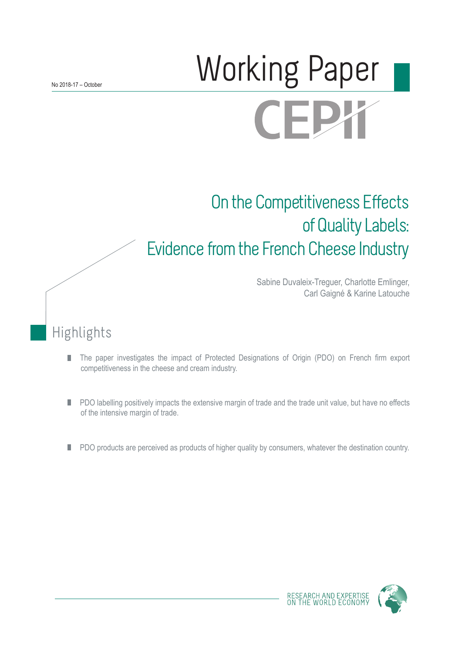# **Morking Paper CEPY**

# On the Competitiveness Effects of Quality Labels: Evidence from the French Cheese Industry

Sabine Duvaleix-Treguer, Charlotte Emlinger, Carl Gaigné & Karine Latouche

## Highlights

- The paper investigates the impact of Protected Designations of Origin (PDO) on French firm export П competitiveness in the cheese and cream industry.
- PDO labelling positively impacts the extensive margin of trade and the trade unit value, but have no effects П of the intensive margin of trade.
- PDO products are perceived as products of higher quality by consumers, whatever the destination country. П

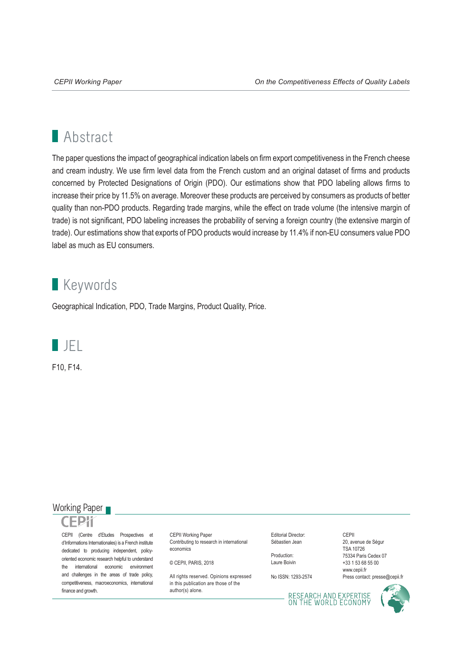## **Abstract**

The paper questions the impact of geographical indication labels on firm export competitiveness in the French cheese and cream industry. We use firm level data from the French custom and an original dataset of firms and products concerned by Protected Designations of Origin (PDO). Our estimations show that PDO labeling allows firms to increase their price by 11.5% on average. Moreover these products are perceived by consumers as products of better quality than non-PDO products. Regarding trade margins, while the effect on trade volume (the intensive margin of trade) is not significant, PDO labeling increases the probability of serving a foreign country (the extensive margin of trade). Our estimations show that exports of PDO products would increase by 11.4% if non-EU consumers value PDO label as much as EU consumers.

## **Keywords**

Geographical Indication, PDO, Trade Margins, Product Quality, Price.



F10, F14.

### Working Paper



CEPII (Centre d'Etudes Prospectives et d'Informations Internationales) is a French institute dedicated to producing independent, policyoriented economic research helpful to understand the international economic environment and challenges in the areas of trade policy, competitiveness, macroeconomics, international finance and growth.

CEPII Working Paper Contributing to research in international economics

© CEPII, PARIS, 2018

All rights reserved. Opinions expressed. in this publication are those of the author(s) alone.

Editorial Director: Sébastien Jean

Production: Laure Boivin

No ISSN: 1293-2574

CEPII 20, avenue de Ségur TSA 10726 75334 Paris Cedex 07 +33 1 53 68 55 00 www.cepii.fr Press contact: presse@cepii.fr

RESEARCH AND EXPERTISE<br>ON THE WORLD ECONOMY

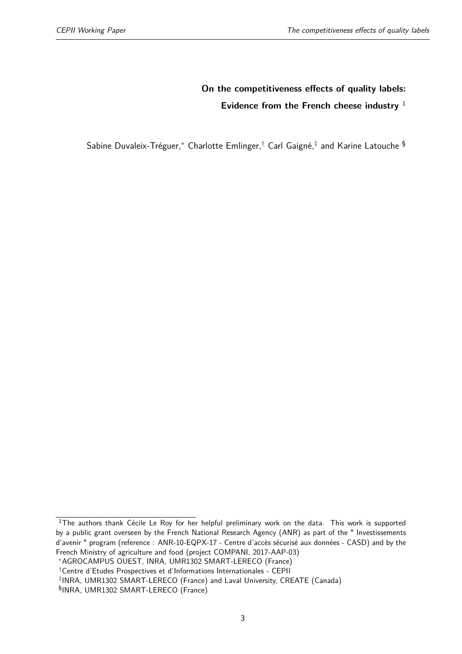## **On the competitiveness effects of quality labels: Evidence from the French cheese industry** [1](#page--1-0)

Sabine Duvaleix-Tréguer,[∗](#page--1-0) Charlotte Emlinger,[†](#page--1-0) Carl Gaigné,[‡](#page--1-0) and Karine Latouche [§](#page--1-0)

 $1$ The authors thank Cécile Le Roy for her helpful preliminary work on the data. This work is supported by a public grant overseen by the French National Research Agency (ANR) as part of the " Investissements d'avenir " program (reference : ANR-10-EQPX-17 - Centre d'accès sécurisé aux données - CASD) and by the French Ministry of agriculture and food (project COMPANI, 2017-AAP-03)

<sup>∗</sup>AGROCAMPUS OUEST, INRA, UMR1302 SMART-LERECO (France)

<sup>†</sup>Centre d'Etudes Prospectives et d'Informations Internationales - CEPII

<sup>‡</sup> INRA, UMR1302 SMART-LERECO (France) and Laval University, CREATE (Canada)

<sup>§</sup> INRA, UMR1302 SMART-LERECO (France)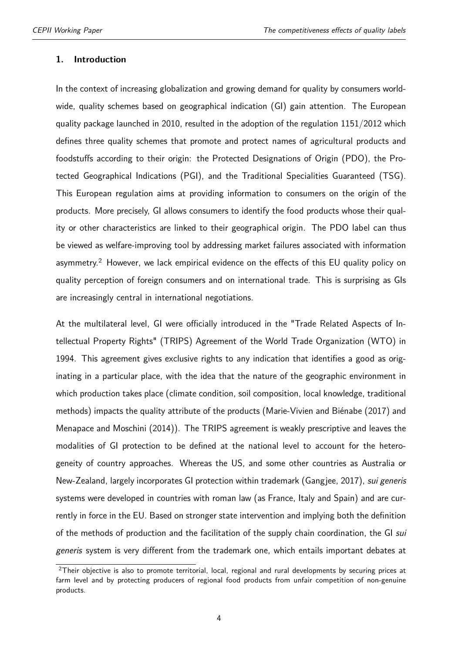#### **1. Introduction**

In the context of increasing globalization and growing demand for quality by consumers worldwide, quality schemes based on geographical indication (GI) gain attention. The European quality package launched in 2010, resulted in the adoption of the regulation 1151/2012 which defines three quality schemes that promote and protect names of agricultural products and foodstuffs according to their origin: the Protected Designations of Origin (PDO), the Protected Geographical Indications (PGI), and the Traditional Specialities Guaranteed (TSG). This European regulation aims at providing information to consumers on the origin of the products. More precisely, GI allows consumers to identify the food products whose their quality or other characteristics are linked to their geographical origin. The PDO label can thus be viewed as welfare-improving tool by addressing market failures associated with information asymmetry.<sup>[2](#page--1-0)</sup> However, we lack empirical evidence on the effects of this EU quality policy on quality perception of foreign consumers and on international trade. This is surprising as GIs are increasingly central in international negotiations.

At the multilateral level, GI were officially introduced in the "Trade Related Aspects of Intellectual Property Rights" (TRIPS) Agreement of the World Trade Organization (WTO) in 1994. This agreement gives exclusive rights to any indication that identifies a good as originating in a particular place, with the idea that the nature of the geographic environment in which production takes place (climate condition, soil composition, local knowledge, traditional methods) impacts the quality attribute of the products [\(Marie-Vivien and Biénabe](#page-24-0) [\(2017\)](#page-24-0) and [Menapace and Moschini](#page-25-0) [\(2014\)](#page-25-0)). The TRIPS agreement is weakly prescriptive and leaves the modalities of GI protection to be defined at the national level to account for the heterogeneity of country approaches. Whereas the US, and some other countries as Australia or New-Zealand, largely incorporates GI protection within trademark [\(Gangjee,](#page-24-1) [2017\)](#page-24-1), *sui generis* systems were developed in countries with roman law (as France, Italy and Spain) and are currently in force in the EU. Based on stronger state intervention and implying both the definition of the methods of production and the facilitation of the supply chain coordination, the GI sui generis system is very different from the trademark one, which entails important debates at

 $2$ Their objective is also to promote territorial, local, regional and rural developments by securing prices at farm level and by protecting producers of regional food products from unfair competition of non-genuine products.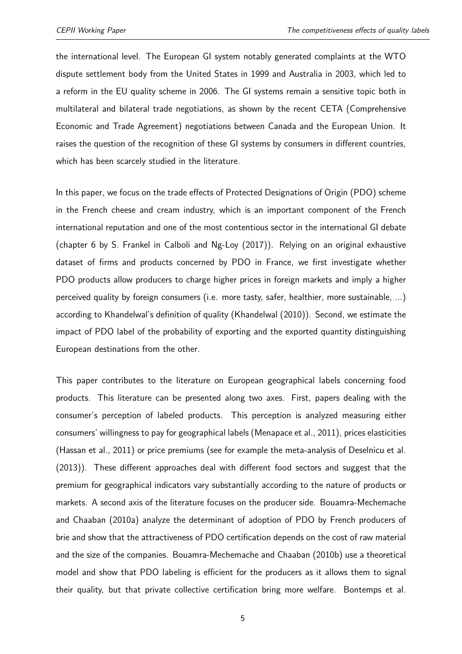the international level. The European GI system notably generated complaints at the WTO dispute settlement body from the United States in 1999 and Australia in 2003, which led to a reform in the EU quality scheme in 2006. The GI systems remain a sensitive topic both in multilateral and bilateral trade negotiations, as shown by the recent CETA (Comprehensive Economic and Trade Agreement) negotiations between Canada and the European Union. It raises the question of the recognition of these GI systems by consumers in different countries, which has been scarcely studied in the literature.

In this paper, we focus on the trade effects of Protected Designations of Origin (PDO) scheme in the French cheese and cream industry, which is an important component of the French international reputation and one of the most contentious sector in the international GI debate (chapter 6 by S. Frankel in [Calboli and Ng-Loy](#page-24-2) [\(2017\)](#page-24-2)). Relying on an original exhaustive dataset of firms and products concerned by PDO in France, we first investigate whether PDO products allow producers to charge higher prices in foreign markets and imply a higher perceived quality by foreign consumers (i.e. more tasty, safer, healthier, more sustainable, ...) according to Khandelwal's definition of quality [\(Khandelwal](#page-24-3) [\(2010\)](#page-24-3)). Second, we estimate the impact of PDO label of the probability of exporting and the exported quantity distinguishing European destinations from the other.

This paper contributes to the literature on European geographical labels concerning food products. This literature can be presented along two axes. First, papers dealing with the consumer's perception of labeled products. This perception is analyzed measuring either consumers' willingness to pay for geographical labels [\(Menapace et al.,](#page-25-1) [2011\)](#page-25-1), prices elasticities [\(Hassan et al.,](#page-24-4) [2011\)](#page-24-4) or price premiums (see for example the meta-analysis of [Deselnicu et al.](#page-24-5) [\(2013\)](#page-24-5)). These different approaches deal with different food sectors and suggest that the premium for geographical indicators vary substantially according to the nature of products or markets. A second axis of the literature focuses on the producer side. [Bouamra-Mechemache](#page-24-6) [and Chaaban](#page-24-6) [\(2010a\)](#page-24-6) analyze the determinant of adoption of PDO by French producers of brie and show that the attractiveness of PDO certification depends on the cost of raw material and the size of the companies. [Bouamra-Mechemache and Chaaban](#page-24-7) [\(2010b\)](#page-24-7) use a theoretical model and show that PDO labeling is efficient for the producers as it allows them to signal their quality, but that private collective certification bring more welfare. [Bontemps et al.](#page-24-8)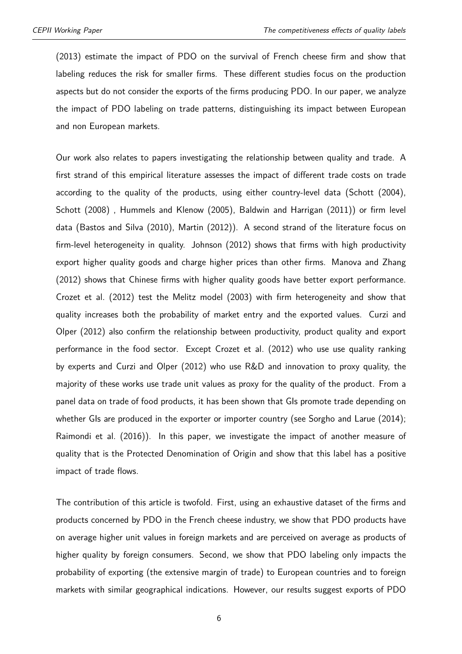[\(2013\)](#page-24-8) estimate the impact of PDO on the survival of French cheese firm and show that labeling reduces the risk for smaller firms. These different studies focus on the production aspects but do not consider the exports of the firms producing PDO. In our paper, we analyze the impact of PDO labeling on trade patterns, distinguishing its impact between European and non European markets.

Our work also relates to papers investigating the relationship between quality and trade. A first strand of this empirical literature assesses the impact of different trade costs on trade according to the quality of the products, using either country-level data [\(Schott](#page-25-2) [\(2004\)](#page-25-2), [Schott](#page-25-3) [\(2008\)](#page-25-3) , [Hummels and Klenow](#page-24-9) [\(2005\)](#page-24-9), [Baldwin and Harrigan](#page-24-10) [\(2011\)](#page-24-10)) or firm level data [\(Bastos and Silva](#page-24-11) [\(2010\)](#page-24-11), [Martin](#page-25-4) [\(2012\)](#page-25-4)). A second strand of the literature focus on firm-level heterogeneity in quality. [Johnson](#page-24-12) [\(2012\)](#page-24-12) shows that firms with high productivity export higher quality goods and charge higher prices than other firms. [Manova and Zhang](#page-24-13) [\(2012\)](#page-24-13) shows that Chinese firms with higher quality goods have better export performance. [Crozet et al.](#page-24-14) [\(2012\)](#page-24-14) test the Melitz model (2003) with firm heterogeneity and show that quality increases both the probability of market entry and the exported values. [Curzi and](#page-24-15) [Olper](#page-24-15) [\(2012\)](#page-24-15) also confirm the relationship between productivity, product quality and export performance in the food sector. Except [Crozet et al.](#page-24-14) [\(2012\)](#page-24-14) who use use quality ranking by experts and [Curzi and Olper](#page-24-15) [\(2012\)](#page-24-15) who use R&D and innovation to proxy quality, the majority of these works use trade unit values as proxy for the quality of the product. From a panel data on trade of food products, it has been shown that GIs promote trade depending on whether GIs are produced in the exporter or importer country (see [Sorgho and Larue](#page-25-5) [\(2014\)](#page-25-5); [Raimondi et al.](#page-25-6) [\(2016\)](#page-25-6)). In this paper, we investigate the impact of another measure of quality that is the Protected Denomination of Origin and show that this label has a positive impact of trade flows.

The contribution of this article is twofold. First, using an exhaustive dataset of the firms and products concerned by PDO in the French cheese industry, we show that PDO products have on average higher unit values in foreign markets and are perceived on average as products of higher quality by foreign consumers. Second, we show that PDO labeling only impacts the probability of exporting (the extensive margin of trade) to European countries and to foreign markets with similar geographical indications. However, our results suggest exports of PDO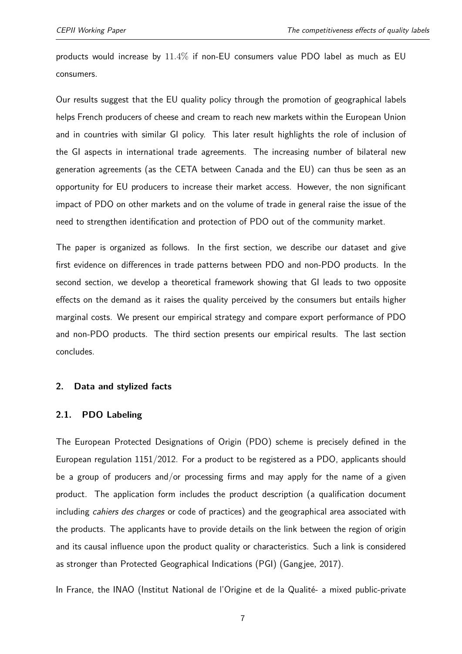products would increase by 11*.*4% if non-EU consumers value PDO label as much as EU consumers.

Our results suggest that the EU quality policy through the promotion of geographical labels helps French producers of cheese and cream to reach new markets within the European Union and in countries with similar GI policy. This later result highlights the role of inclusion of the GI aspects in international trade agreements. The increasing number of bilateral new generation agreements (as the CETA between Canada and the EU) can thus be seen as an opportunity for EU producers to increase their market access. However, the non significant impact of PDO on other markets and on the volume of trade in general raise the issue of the need to strengthen identification and protection of PDO out of the community market.

The paper is organized as follows. In the first section, we describe our dataset and give first evidence on differences in trade patterns between PDO and non-PDO products. In the second section, we develop a theoretical framework showing that GI leads to two opposite effects on the demand as it raises the quality perceived by the consumers but entails higher marginal costs. We present our empirical strategy and compare export performance of PDO and non-PDO products. The third section presents our empirical results. The last section concludes.

#### **2. Data and stylized facts**

#### **2.1. PDO Labeling**

The European Protected Designations of Origin (PDO) scheme is precisely defined in the European regulation 1151/2012. For a product to be registered as a PDO, applicants should be a group of producers and/or processing firms and may apply for the name of a given product. The application form includes the product description (a qualification document including *cahiers des charges* or code of practices) and the geographical area associated with the products. The applicants have to provide details on the link between the region of origin and its causal influence upon the product quality or characteristics. Such a link is considered as stronger than Protected Geographical Indications (PGI) [\(Gangjee,](#page-24-1) [2017\)](#page-24-1).

In France, the INAO (Institut National de l'Origine et de la Qualité- a mixed public-private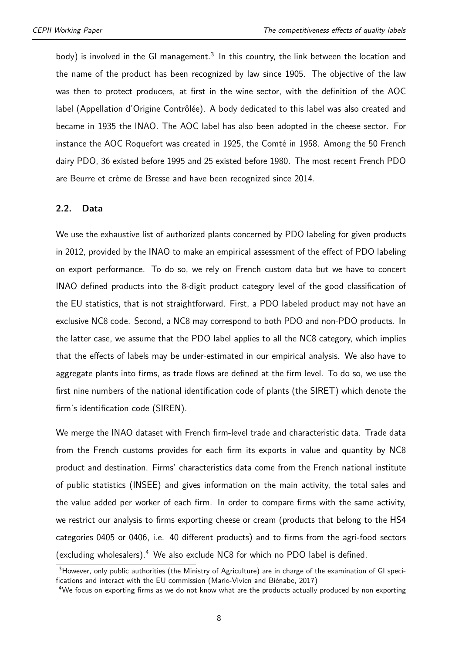body) is involved in the GI management. $3$  In this country, the link between the location and the name of the product has been recognized by law since 1905. The objective of the law was then to protect producers, at first in the wine sector, with the definition of the AOC label (Appellation d'Origine Contrôlée). A body dedicated to this label was also created and became in 1935 the INAO. The AOC label has also been adopted in the cheese sector. For instance the AOC Roquefort was created in 1925, the Comté in 1958. Among the 50 French dairy PDO, 36 existed before 1995 and 25 existed before 1980. The most recent French PDO are Beurre et crème de Bresse and have been recognized since 2014.

#### **2.2. Data**

We use the exhaustive list of authorized plants concerned by PDO labeling for given products in 2012, provided by the INAO to make an empirical assessment of the effect of PDO labeling on export performance. To do so, we rely on French custom data but we have to concert INAO defined products into the 8-digit product category level of the good classification of the EU statistics, that is not straightforward. First, a PDO labeled product may not have an exclusive NC8 code. Second, a NC8 may correspond to both PDO and non-PDO products. In the latter case, we assume that the PDO label applies to all the NC8 category, which implies that the effects of labels may be under-estimated in our empirical analysis. We also have to aggregate plants into firms, as trade flows are defined at the firm level. To do so, we use the first nine numbers of the national identification code of plants (the SIRET) which denote the firm's identification code (SIREN).

We merge the INAO dataset with French firm-level trade and characteristic data. Trade data from the French customs provides for each firm its exports in value and quantity by NC8 product and destination. Firms' characteristics data come from the French national institute of public statistics (INSEE) and gives information on the main activity, the total sales and the value added per worker of each firm. In order to compare firms with the same activity, we restrict our analysis to firms exporting cheese or cream (products that belong to the HS4 categories 0405 or 0406, i.e. 40 different products) and to firms from the agri-food sectors (excluding wholesalers).[4](#page--1-0) We also exclude NC8 for which no PDO label is defined.

<sup>&</sup>lt;sup>3</sup>However, only public authorities (the Ministry of Agriculture) are in charge of the examination of GI specifications and interact with the EU commission [\(Marie-Vivien and Biénabe,](#page-24-0) [2017\)](#page-24-0)

<sup>&</sup>lt;sup>4</sup>We focus on exporting firms as we do not know what are the products actually produced by non exporting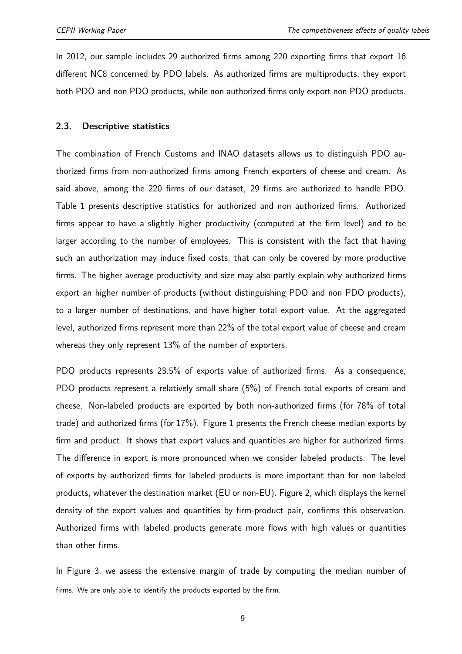In 2012, our sample includes 29 authorized firms among 220 exporting firms that export 16 different NC8 concerned by PDO labels. As authorized firms are multiproducts, they export both PDO and non PDO products, while non authorized firms only export non PDO products.

#### **2.3. Descriptive statistics**

The combination of French Customs and INAO datasets allows us to distinguish PDO authorized firms from non-authorized firms among French exporters of cheese and cream. As said above, among the 220 firms of our dataset, 29 firms are authorized to handle PDO. Table [1](#page-9-0) presents descriptive statistics for authorized and non authorized firms. Authorized firms appear to have a slightly higher productivity (computed at the firm level) and to be larger according to the number of employees. This is consistent with the fact that having such an authorization may induce fixed costs, that can only be covered by more productive firms. The higher average productivity and size may also partly explain why authorized firms export an higher number of products (without distinguishing PDO and non PDO products), to a larger number of destinations, and have higher total export value. At the aggregated level, authorized firms represent more than 22% of the total export value of cheese and cream whereas they only represent 13% of the number of exporters.

PDO products represents 23.5% of exports value of authorized firms. As a consequence, PDO products represent a relatively small share (5%) of French total exports of cream and cheese. Non-labeled products are exported by both non-authorized firms (for 78% of total trade) and authorized firms (for 17%). Figure [1](#page-9-1) presents the French cheese median exports by firm and product. It shows that export values and quantities are higher for authorized firms. The difference in export is more pronounced when we consider labeled products. The level of exports by authorized firms for labeled products is more important than for non labeled products, whatever the destination market (EU or non-EU). Figure [2,](#page-9-2) which displays the kernel density of the export values and quantities by firm-product pair, confirms this observation. Authorized firms with labeled products generate more flows with high values or quantities than other firms.

In Figure [3,](#page-10-0) we assess the extensive margin of trade by computing the median number of firms. We are only able to identify the products exported by the firm.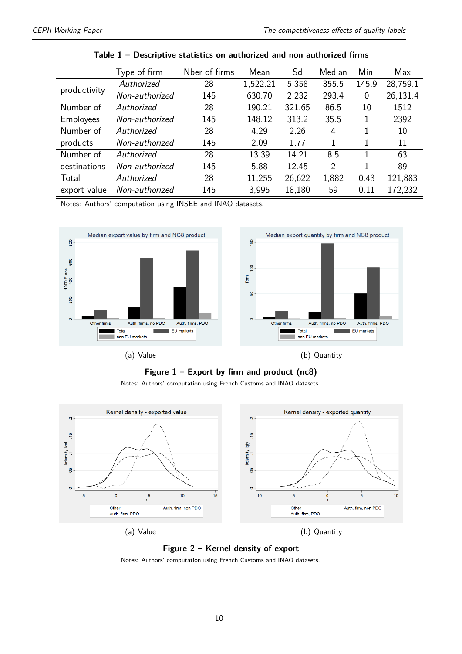<span id="page-9-0"></span>

|                  | Type of firm   | Nber of firms | Mean     | Sd     | Median | Min.  | Max      |
|------------------|----------------|---------------|----------|--------|--------|-------|----------|
|                  | Authorized     | 28            | 1,522.21 | 5,358  | 355.5  | 145.9 | 28,759.1 |
| productivity     | Non-authorized | 145           | 630.70   | 2,232  | 293.4  | 0     | 26,131.4 |
| Number of        | Authorized     | 28            | 190.21   | 321.65 | 86.5   | 10    | 1512     |
| <b>Employees</b> | Non-authorized | 145           | 148.12   | 313.2  | 35.5   |       | 2392     |
| Number of        | Authorized     | 28            | 4.29     | 2.26   | 4      |       | 10       |
| products         | Non-authorized | 145           | 2.09     | 1.77   | 1      |       | 11       |
| Number of        | Authorized     | 28            | 13.39    | 14.21  | 8.5    | 1     | 63       |
| destinations     | Non-authorized | 145           | 5.88     | 12.45  | 2      |       | 89       |
| Total            | Authorized     | 28            | 11,255   | 26,622 | 1,882  | 0.43  | 121,883  |
| export value     | Non-authorized | 145           | 3,995    | 18,180 | 59     | 0.11  | 172,232  |

|  | Table 1 - Descriptive statistics on authorized and non authorized firms |  |  |  |  |  |
|--|-------------------------------------------------------------------------|--|--|--|--|--|
|--|-------------------------------------------------------------------------|--|--|--|--|--|

Notes: Authors' computation using INSEE and INAO datasets.

<span id="page-9-1"></span>

**Figure 1 – Export by firm and product (nc8)**

Notes: Authors' computation using French Customs and INAO datasets.

<span id="page-9-2"></span>



Notes: Authors' computation using French Customs and INAO datasets.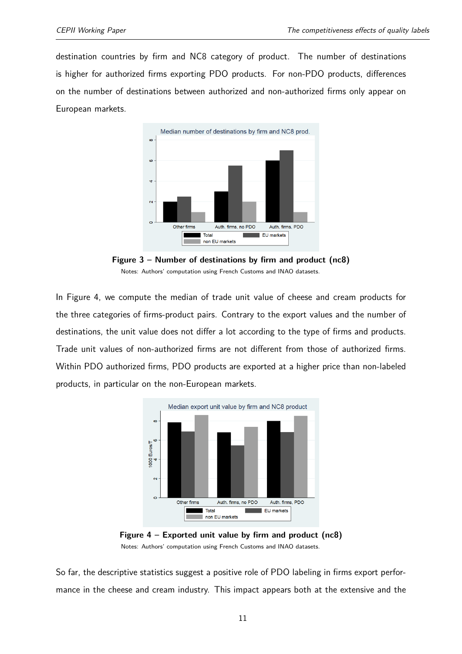<span id="page-10-0"></span>destination countries by firm and NC8 category of product. The number of destinations is higher for authorized firms exporting PDO products. For non-PDO products, differences on the number of destinations between authorized and non-authorized firms only appear on European markets.



**Figure 3 – Number of destinations by firm and product (nc8)** Notes: Authors' computation using French Customs and INAO datasets.

In Figure [4,](#page-10-1) we compute the median of trade unit value of cheese and cream products for the three categories of firms-product pairs. Contrary to the export values and the number of destinations, the unit value does not differ a lot according to the type of firms and products. Trade unit values of non-authorized firms are not different from those of authorized firms. Within PDO authorized firms, PDO products are exported at a higher price than non-labeled products, in particular on the non-European markets.

<span id="page-10-1"></span>



So far, the descriptive statistics suggest a positive role of PDO labeling in firms export performance in the cheese and cream industry. This impact appears both at the extensive and the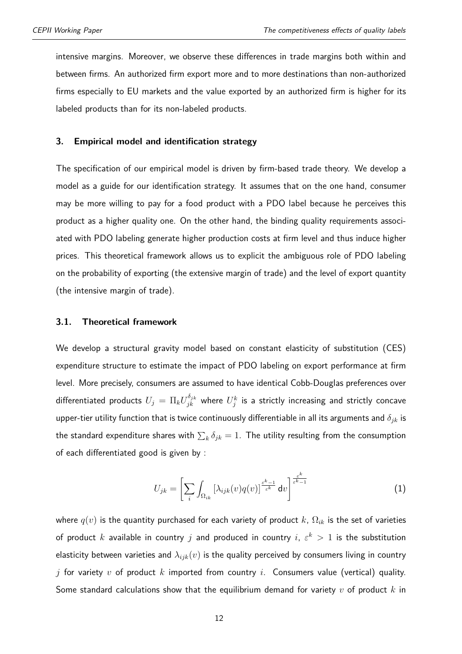intensive margins. Moreover, we observe these differences in trade margins both within and between firms. An authorized firm export more and to more destinations than non-authorized firms especially to EU markets and the value exported by an authorized firm is higher for its labeled products than for its non-labeled products.

#### **3. Empirical model and identification strategy**

The specification of our empirical model is driven by firm-based trade theory. We develop a model as a guide for our identification strategy. It assumes that on the one hand, consumer may be more willing to pay for a food product with a PDO label because he perceives this product as a higher quality one. On the other hand, the binding quality requirements associated with PDO labeling generate higher production costs at firm level and thus induce higher prices. This theoretical framework allows us to explicit the ambiguous role of PDO labeling on the probability of exporting (the extensive margin of trade) and the level of export quantity (the intensive margin of trade).

#### **3.1. Theoretical framework**

We develop a structural gravity model based on constant elasticity of substitution (CES) expenditure structure to estimate the impact of PDO labeling on export performance at firm level. More precisely, consumers are assumed to have identical Cobb-Douglas preferences over differentiated products  $U_j\,=\,\Pi_kU_{jk}^{\delta_{jk}}$  where  $U_j^k$  is a strictly increasing and strictly concave upper-tier utility function that is twice continuously differentiable in all its arguments and *δjk* is the standard expenditure shares with  $\sum_k \delta_{jk} = 1.$  The utility resulting from the consumption of each differentiated good is given by :

$$
U_{jk} = \left[\sum_{i} \int_{\Omega_{ik}} \left[\lambda_{ijk}(v) q(v)\right]^{\frac{\varepsilon^k - 1}{\varepsilon^k}} dv\right]^{\frac{\varepsilon^k}{\varepsilon^k - 1}}
$$
(1)

where *q*(*v*) is the quantity purchased for each variety of product *k*, Ω*ik* is the set of varieties of product  $k$  available in country  $j$  and produced in country  $i, \varepsilon^k > 1$  is the substitution elasticity between varieties and *λijk*(*v*) is the quality perceived by consumers living in country *j* for variety *v* of product *k* imported from country *i*. Consumers value (vertical) quality. Some standard calculations show that the equilibrium demand for variety *v* of product *k* in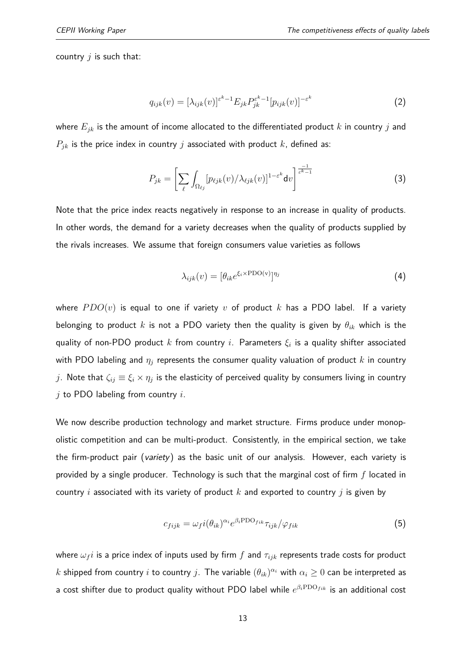<span id="page-12-0"></span>country *j* is such that:

<span id="page-12-2"></span>
$$
q_{ijk}(v) = [\lambda_{ijk}(v)]^{\varepsilon^k - 1} E_{jk} P_{jk}^{\varepsilon^k - 1} [p_{ijk}(v)]^{-\varepsilon^k}
$$
\n(2)

where *Ejk* is the amount of income allocated to the differentiated product *k* in country *j* and  $P_{jk}$  is the price index in country *j* associated with product  $k$ , defined as:

$$
P_{jk} = \left[\sum_{\ell} \int_{\Omega_{\ell j}} [p_{\ell j k}(v) / \lambda_{\ell j k}(v)]^{1-\varepsilon^{k}} dv\right]^{\frac{-1}{\varepsilon^{k}-1}}
$$
(3)

Note that the price index reacts negatively in response to an increase in quality of products. In other words, the demand for a variety decreases when the quality of products supplied by the rivals increases. We assume that foreign consumers value varieties as follows

<span id="page-12-1"></span>
$$
\lambda_{ijk}(v) = [\theta_{ik} e^{\xi_i \times \text{PDO}(v)}]^{\eta_j} \tag{4}
$$

where  $PDO(v)$  is equal to one if variety *v* of product *k* has a PDO label. If a variety belonging to product *k* is not a PDO variety then the quality is given by *θik* which is the quality of non-PDO product *k* from country *i*. Parameters *ξ<sup>i</sup>* is a quality shifter associated with PDO labeling and *η<sup>j</sup>* represents the consumer quality valuation of product *k* in country  $j$ . Note that  $\zeta_{ij}\equiv \xi_i\times \eta_j$  is the elasticity of perceived quality by consumers living in country *j* to PDO labeling from country *i*.

We now describe production technology and market structure. Firms produce under monopolistic competition and can be multi-product. Consistently, in the empirical section, we take the firm-product pair (variety) as the basic unit of our analysis. However, each variety is provided by a single producer. Technology is such that the marginal cost of firm *f* located in country *i* associated with its variety of product *k* and exported to country *j* is given by

$$
c_{fijk} = \omega_f i(\theta_{ik})^{\alpha_i} e^{\beta_i \text{PD} \text{O}_{fik}} \tau_{ijk} / \varphi_{fik} \tag{5}
$$

where  $\omega_f i$  is a price index of inputs used by firm  $f$  and  $\tau_{ijk}$  represents trade costs for product  $k$  shipped from country  $i$  to country  $j$ . The variable  $(\theta_{ik})^{\alpha_i}$  with  $\alpha_i\geq 0$  can be interpreted as a cost shifter due to product quality without PDO label while *e <sup>β</sup>i*PDO*f ik* is an additional cost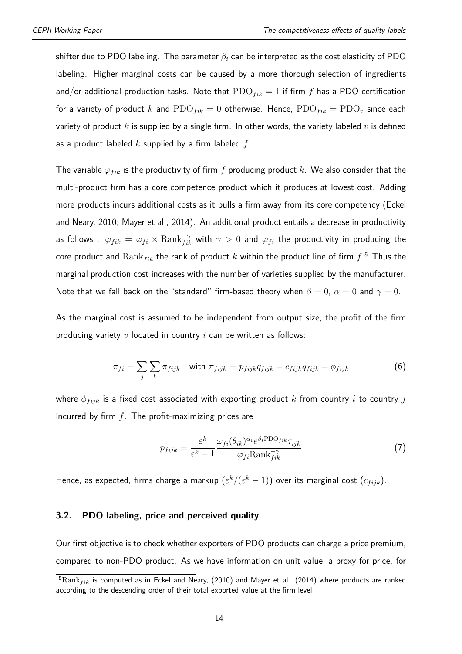shifter due to PDO labeling. The parameter *β<sup>i</sup>* can be interpreted as the cost elasticity of PDO labeling. Higher marginal costs can be caused by a more thorough selection of ingredients and/or additional production tasks. Note that  $PDO<sub>fix</sub> = 1$  if firm f has a PDO certification for a variety of product *k* and  $\text{PDO}_{fik} = 0$  otherwise. Hence,  $\text{PDO}_{fik} = \text{PDO}_{v}$  since each variety of product *k* is supplied by a single firm. In other words, the variety labeled *v* is defined as a product labeled *k* supplied by a firm labeled *f*.

The variable  $\varphi_{fik}$  is the productivity of firm *f* producing product *k*. We also consider that the multi-product firm has a core competence product which it produces at lowest cost. Adding more products incurs additional costs as it pulls a firm away from its core competency (Eckel and Neary, 2010; Mayer et al., 2014). An additional product entails a decrease in productivity as follows :  $\varphi_{fik} = \varphi_{fi} \times \text{Rank}_{fik}^{-\gamma}$  with  $\gamma > 0$  and  $\varphi_{fi}$  the productivity in producing the core product and  $\mathrm{Rank}_{fik}$  the rank of product  $k$  within the product line of firm  $f.^5$  $f.^5$  Thus the marginal production cost increases with the number of varieties supplied by the manufacturer. Note that we fall back on the "standard" firm-based theory when  $\beta = 0$ ,  $\alpha = 0$  and  $\gamma = 0$ .

As the marginal cost is assumed to be independent from output size, the profit of the firm producing variety *v* located in country *i* can be written as follows:

$$
\pi_{fi} = \sum_{j} \sum_{k} \pi_{fijk} \quad \text{with } \pi_{fijk} = p_{fijk} q_{fijk} - c_{fijk} q_{fijk} - \phi_{fijk} \tag{6}
$$

where  $\phi_{fijk}$  is a fixed cost associated with exporting product *k* from country *i* to country *j* incurred by firm *f*. The profit-maximizing prices are

<span id="page-13-0"></span>
$$
p_{fijk} = \frac{\varepsilon^k}{\varepsilon^k - 1} \frac{\omega_{fi}(\theta_{ik})^{\alpha_i} e^{\beta_i \text{PDO}_{fik}} \tau_{ijk}}{\varphi_{fi} \text{Rank}_{fik}^{-\gamma}}
$$
(7)

Hence, as expected, firms charge a markup  $(\varepsilon^k/(\varepsilon^k-1))$  over its marginal cost  $(c_{fijk})$ .

#### <span id="page-13-1"></span>**3.2. PDO labeling, price and perceived quality**

Our first objective is to check whether exporters of PDO products can charge a price premium, compared to non-PDO product. As we have information on unit value, a proxy for price, for

<sup>&</sup>lt;sup>5</sup>Rank<sub>fik</sub> is computed as in Eckel and Neary, (2010) and Mayer et al. (2014) where products are ranked according to the descending order of their total exported value at the firm level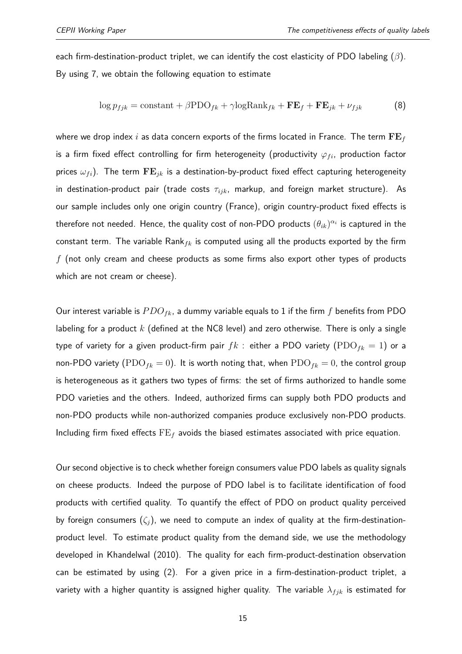each firm-destination-product triplet, we can identify the cost elasticity of PDO labeling (*β*). By using [7,](#page-13-0) we obtain the following equation to estimate

<span id="page-14-0"></span>
$$
\log p_{fjk} = \text{constant} + \beta \text{PDO}_{fk} + \gamma \text{logRank}_{fk} + \mathbf{FE}_f + \mathbf{FE}_{jk} + \nu_{fjk} \tag{8}
$$

where we drop index *i* as data concern exports of the firms located in France. The term **FE***<sup>f</sup>* is a firm fixed effect controlling for firm heterogeneity (productivity  $\varphi_{fi}$ , production factor prices  $\omega_{fi}$ ). The term  $\mathbf{FE}_{jk}$  is a destination-by-product fixed effect capturing heterogeneity in destination-product pair (trade costs *τijk*, markup, and foreign market structure). As our sample includes only one origin country (France), origin country-product fixed effects is therefore not needed. Hence, the quality cost of non-PDO products  $(\theta_{ik})^{\alpha_i}$  is captured in the constant term. The variable Rank*fk* is computed using all the products exported by the firm *f* (not only cream and cheese products as some firms also export other types of products which are not cream or cheese).

Our interest variable is *P DOfk*, a dummy variable equals to 1 if the firm *f* benefits from PDO labeling for a product *k* (defined at the NC8 level) and zero otherwise. There is only a single type of variety for a given product-firm pair  $fk$  : either a PDO variety  $( \text{PDO}_{fk} = 1)$  or a non-PDO variety  $($ PDO $_{fk} = 0$ ). It is worth noting that, when  $PDO_{fk} = 0$ , the control group is heterogeneous as it gathers two types of firms: the set of firms authorized to handle some PDO varieties and the others. Indeed, authorized firms can supply both PDO products and non-PDO products while non-authorized companies produce exclusively non-PDO products. Including firm fixed effects FE*<sup>f</sup>* avoids the biased estimates associated with price equation.

Our second objective is to check whether foreign consumers value PDO labels as quality signals on cheese products. Indeed the purpose of PDO label is to facilitate identification of food products with certified quality. To quantify the effect of PDO on product quality perceived by foreign consumers  $(\zeta_i)$ , we need to compute an index of quality at the firm-destinationproduct level. To estimate product quality from the demand side, we use the methodology developed in [Khandelwal](#page-24-3) [\(2010\)](#page-24-3). The quality for each firm-product-destination observation can be estimated by using [\(2\)](#page-12-0). For a given price in a firm-destination-product triplet, a variety with a higher quantity is assigned higher quality. The variable  $\lambda_{fjk}$  is estimated for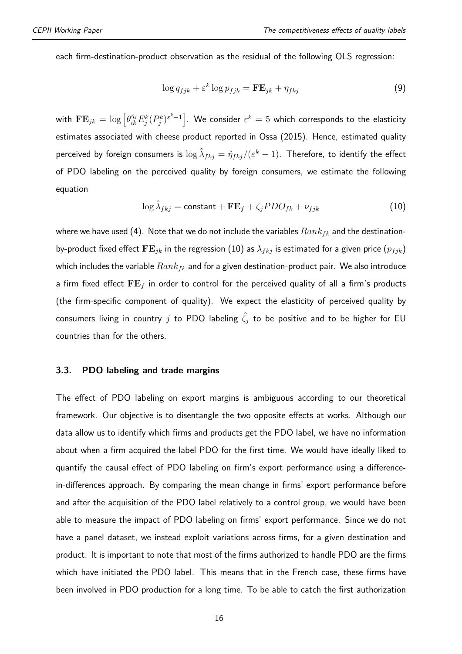each firm-destination-product observation as the residual of the following OLS regression:

$$
\log q_{fjk} + \varepsilon^k \log p_{fjk} = \mathbf{F} \mathbf{E}_{jk} + \eta_{fkj} \tag{9}
$$

with  $\mathbf{FE}_{jk}=\log\left[\theta_{ik}^{\eta_j}E_j^k(P_j^k)^{\varepsilon^k-1}\right]$ . We consider  $\varepsilon^k=5$  which corresponds to the elasticity estimates associated with cheese product reported in Ossa (2015). Hence, estimated quality perceived by foreign consumers is  $\log \hat{\lambda}_{fkj} = \hat{\eta}_{fkj}/(\varepsilon^k-1).$  Therefore, to identify the effect of PDO labeling on the perceived quality by foreign consumers, we estimate the following equation

<span id="page-15-0"></span>
$$
\log \hat{\lambda}_{fkj} = \text{constant} + \mathbf{FE}_f + \zeta_j PDO_{fk} + \nu_{fjk} \tag{10}
$$

where we have used [\(4\)](#page-12-1). Note that we do not include the variables *Rankfk* and the destinationby-product fixed effect  $\mathbf{FE}_{jk}$  in the regression [\(10\)](#page-15-0) as  $\lambda_{fkj}$  is estimated for a given price  $(p_{fjk})$ which includes the variable *Rankfk* and for a given destination-product pair. We also introduce a firm fixed effect **FE***<sup>f</sup>* in order to control for the perceived quality of all a firm's products (the firm-specific component of quality). We expect the elasticity of perceived quality by consumers living in country *j* to PDO labeling  $\hat{\zeta}_j$  to be positive and to be higher for EU countries than for the others.

#### **3.3. PDO labeling and trade margins**

The effect of PDO labeling on export margins is ambiguous according to our theoretical framework. Our objective is to disentangle the two opposite effects at works. Although our data allow us to identify which firms and products get the PDO label, we have no information about when a firm acquired the label PDO for the first time. We would have ideally liked to quantify the causal effect of PDO labeling on firm's export performance using a differencein-differences approach. By comparing the mean change in firms' export performance before and after the acquisition of the PDO label relatively to a control group, we would have been able to measure the impact of PDO labeling on firms' export performance. Since we do not have a panel dataset, we instead exploit variations across firms, for a given destination and product. It is important to note that most of the firms authorized to handle PDO are the firms which have initiated the PDO label. This means that in the French case, these firms have been involved in PDO production for a long time. To be able to catch the first authorization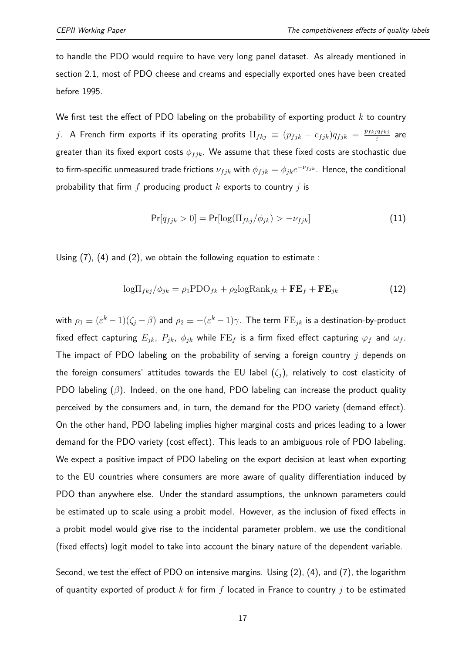to handle the PDO would require to have very long panel dataset. As already mentioned in section 2.1, most of PDO cheese and creams and especially exported ones have been created before 1995.

We first test the effect of PDO labeling on the probability of exporting product *k* to country *j*. A French firm exports if its operating profits  $\Pi_{fkj} \equiv (p_{fjk} - c_{fjk})q_{fjk} = \frac{p_{fkj}q_{fkj}}{s}$ *ε* are greater than its fixed export costs  $\phi_{fjk}$ . We assume that these fixed costs are stochastic due to firm-specific unmeasured trade frictions  $\nu_{fjk}$  with  $\phi_{fjk} = \phi_{jk}e^{-\nu_{fjk}}$  . Hence, the conditional probability that firm *f* producing product *k* exports to country *j* is

<span id="page-16-0"></span>
$$
\Pr[q_{fjk} > 0] = \Pr[\log(\Pi_{fkj} / \phi_{jk}) > -\nu_{fjk}] \tag{11}
$$

Using [\(7\)](#page-13-0), [\(4\)](#page-12-1) and [\(2\)](#page-12-0), we obtain the following equation to estimate :

$$
\log \Pi_{fkj}/\phi_{jk} = \rho_1 \text{PDO}_{fk} + \rho_2 \log \text{Rank}_{fk} + \mathbf{FE}_f + \mathbf{FE}_{jk}
$$
(12)

with  $\rho_1\equiv(\varepsilon^k-1)(\zeta_j-\beta)$  and  $\rho_2\equiv-(\varepsilon^k-1)\gamma.$  The term  $\text{FE}_{jk}$  is a destination-by-product fixed effect capturing  $E_{jk}$ ,  $P_{jk}$ ,  $\phi_{jk}$  while  $\text{FE}_f$  is a firm fixed effect capturing  $\varphi_f$  and  $\omega_f$ . The impact of PDO labeling on the probability of serving a foreign country *j* depends on the foreign consumers' attitudes towards the EU label  $(\zeta_i)$ , relatively to cost elasticity of PDO labeling (*β*). Indeed, on the one hand, PDO labeling can increase the product quality perceived by the consumers and, in turn, the demand for the PDO variety (demand effect). On the other hand, PDO labeling implies higher marginal costs and prices leading to a lower demand for the PDO variety (cost effect). This leads to an ambiguous role of PDO labeling. We expect a positive impact of PDO labeling on the export decision at least when exporting to the EU countries where consumers are more aware of quality differentiation induced by PDO than anywhere else. Under the standard assumptions, the unknown parameters could be estimated up to scale using a probit model. However, as the inclusion of fixed effects in a probit model would give rise to the incidental parameter problem, we use the conditional (fixed effects) logit model to take into account the binary nature of the dependent variable.

Second, we test the effect of PDO on intensive margins. Using [\(2\)](#page-12-0), [\(4\)](#page-12-1), and [\(7\)](#page-13-0), the logarithm of quantity exported of product *k* for firm *f* located in France to country *j* to be estimated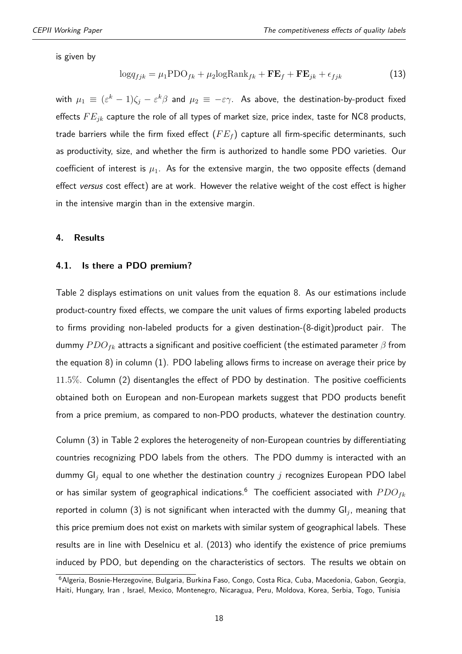is given by

<span id="page-17-0"></span>
$$
\log q_{fjk} = \mu_1 \text{PDO}_{fk} + \mu_2 \log \text{Rank}_{fk} + \mathbf{FE}_f + \mathbf{FE}_{jk} + \epsilon_{fjk} \tag{13}
$$

with  $\mu_1\equiv(\varepsilon^k-1)\zeta_j-\varepsilon^k\beta$  and  $\mu_2\equiv-\varepsilon\gamma.$  As above, the destination-by-product fixed effects *F Ejk* capture the role of all types of market size, price index, taste for NC8 products, trade barriers while the firm fixed effect (*F E<sup>f</sup>* ) capture all firm-specific determinants, such as productivity, size, and whether the firm is authorized to handle some PDO varieties. Our coefficient of interest is  $\mu_1$ . As for the extensive margin, the two opposite effects (demand effect versus cost effect) are at work. However the relative weight of the cost effect is higher in the intensive margin than in the extensive margin.

#### **4. Results**

#### **4.1. Is there a PDO premium?**

Table [2](#page-18-0) displays estimations on unit values from the equation [8.](#page-14-0) As our estimations include product-country fixed effects, we compare the unit values of firms exporting labeled products to firms providing non-labeled products for a given destination-(8-digit)product pair. The dummy *P DOfk* attracts a significant and positive coefficient (the estimated parameter *β* from the equation [8\)](#page-14-0) in column (1). PDO labeling allows firms to increase on average their price by 11*.*5%. Column (2) disentangles the effect of PDO by destination. The positive coefficients obtained both on European and non-European markets suggest that PDO products benefit from a price premium, as compared to non-PDO products, whatever the destination country.

Column (3) in Table [2](#page-18-0) explores the heterogeneity of non-European countries by differentiating countries recognizing PDO labels from the others. The PDO dummy is interacted with an dummy GI*<sup>j</sup>* equal to one whether the destination country *j* recognizes European PDO label or has similar system of geographical indications.[6](#page--1-0) The coefficient associated with *P DOfk* reported in column (3) is not significant when interacted with the dummy GI*<sup>j</sup>* , meaning that this price premium does not exist on markets with similar system of geographical labels. These results are in line with [Deselnicu et al.](#page-24-5) [\(2013\)](#page-24-5) who identify the existence of price premiums induced by PDO, but depending on the characteristics of sectors. The results we obtain on

<sup>&</sup>lt;sup>6</sup> Algeria, Bosnie-Herzegovine, Bulgaria, Burkina Faso, Congo, Costa Rica, Cuba, Macedonia, Gabon, Georgia, Haiti, Hungary, Iran , Israel, Mexico, Montenegro, Nicaragua, Peru, Moldova, Korea, Serbia, Togo, Tunisia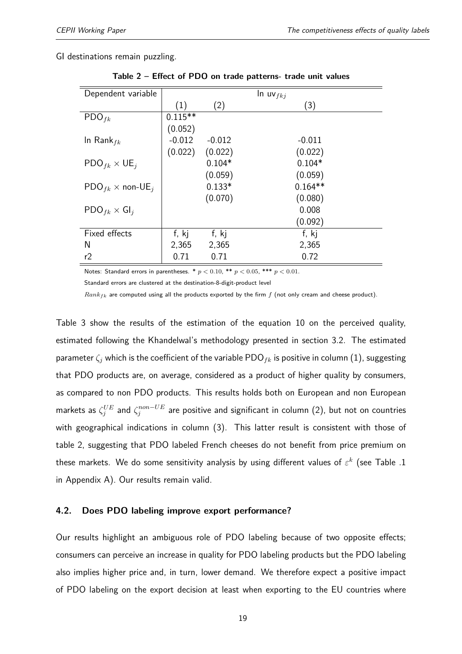<span id="page-18-0"></span>GI destinations remain puzzling.

| Dependent variable                         |           |          | $\ln uv_{fkj}$ |
|--------------------------------------------|-----------|----------|----------------|
|                                            | (1)       | (2)      | (3)            |
| $\text{PDO}_{fk}$                          | $0.115**$ |          |                |
|                                            | (0.052)   |          |                |
| In Rank $_{fk}$                            | $-0.012$  | $-0.012$ | $-0.011$       |
|                                            | (0.022)   | (0.022)  | (0.022)        |
| $\mathsf{PDO}_{fk} \times \mathsf{UE}_{j}$ |           | $0.104*$ | $0.104*$       |
|                                            |           | (0.059)  | (0.059)        |
| $\text{PDO}_{fk} \times \text{non-UE}_{i}$ |           | $0.133*$ | $0.164**$      |
|                                            |           | (0.070)  | (0.080)        |
| $\mathsf{PDO}_{fk} \times \mathsf{GI}_i$   |           |          | 0.008          |
|                                            |           |          | (0.092)        |
| Fixed effects                              | f, kj     | f, kj    | f, kj          |
| N                                          | 2,365     | 2,365    | 2,365          |
| r2                                         | 0.71      | 0.71     | 0.72           |

**Table 2 – Effect of PDO on trade patterns- trade unit values**

Notes: Standard errors in parentheses. \* *p <* 0*.*10, \*\* *p <* 0*.*05, \*\*\* *p <* 0*.*01.

Standard errors are clustered at the destination-8-digit-product level

*Rankfk* are computed using all the products exported by the firm *f* (not only cream and cheese product).

Table [3](#page-19-0) show the results of the estimation of the equation [10](#page-15-0) on the perceived quality, estimated following the Khandelwal's methodology presented in section [3.2.](#page-13-1) The estimated parameter  $\zeta_i$  which is the coefficient of the variable PDO<sub>fk</sub> is positive in column (1), suggesting that PDO products are, on average, considered as a product of higher quality by consumers, as compared to non PDO products. This results holds both on European and non European markets as  $\zeta_j^{UE}$  and  $\zeta_j^{non-UE}$  are positive and significant in column (2), but not on countries with geographical indications in column (3). This latter result is consistent with those of table [2,](#page-18-0) suggesting that PDO labeled French cheeses do not benefit from price premium on these markets. We do some sensitivity analysis by using different values of  $\varepsilon^k$  (see Table [.1](#page-28-0) in Appendix A). Our results remain valid.

#### **4.2. Does PDO labeling improve export performance?**

Our results highlight an ambiguous role of PDO labeling because of two opposite effects; consumers can perceive an increase in quality for PDO labeling products but the PDO labeling also implies higher price and, in turn, lower demand. We therefore expect a positive impact of PDO labeling on the export decision at least when exporting to the EU countries where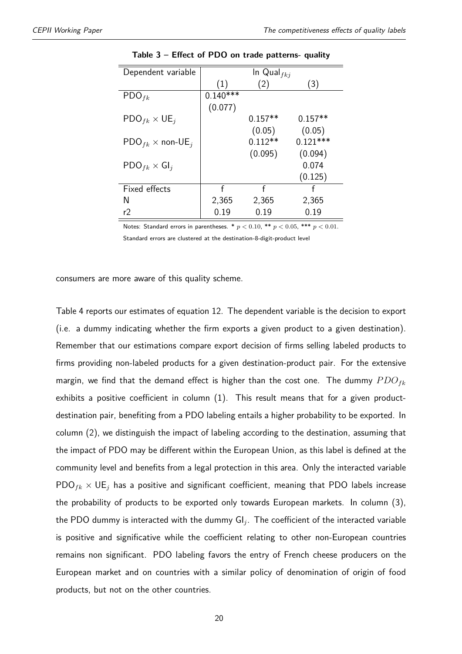<span id="page-19-0"></span>

| Dependent variable                             |            | In Qual $_{fki}$ |            |
|------------------------------------------------|------------|------------------|------------|
|                                                | (1)        | (2)              | (3)        |
| $\text{PDO}_{fk}$                              | $0.140***$ |                  |            |
|                                                | (0.077)    |                  |            |
| $\mathsf{PDO}_{fk} \times \mathsf{UE}_{i}$     |            | $0.157**$        | $0.157**$  |
|                                                |            | (0.05)           | (0.05)     |
| $\mathsf{PDO}_{fk} \times \mathsf{non-UE}_{i}$ |            | $0.112**$        | $0.121***$ |
|                                                |            | (0.095)          | (0.094)    |
| $\mathsf{PDO}_{fk} \times \mathsf{GI}_j$       |            |                  | 0.074      |
|                                                |            |                  | (0.125)    |
| Fixed effects                                  | f          | f                | f          |
| N                                              | 2,365      | 2,365            | 2,365      |
| r2                                             | 0.19       | 0.19             | 0.19       |

**Table 3 – Effect of PDO on trade patterns- quality**

Notes: Standard errors in parentheses.  $* p < 0.10$ ,  $** p < 0.05$ ,  $*** p < 0.01$ . Standard errors are clustered at the destination-8-digit-product level

consumers are more aware of this quality scheme.

Table [4](#page-21-0) reports our estimates of equation [12.](#page-16-0) The dependent variable is the decision to export (i.e. a dummy indicating whether the firm exports a given product to a given destination). Remember that our estimations compare export decision of firms selling labeled products to firms providing non-labeled products for a given destination-product pair. For the extensive margin, we find that the demand effect is higher than the cost one. The dummy *P DOfk* exhibits a positive coefficient in column (1). This result means that for a given productdestination pair, benefiting from a PDO labeling entails a higher probability to be exported. In column (2), we distinguish the impact of labeling according to the destination, assuming that the impact of PDO may be different within the European Union, as this label is defined at the community level and benefits from a legal protection in this area. Only the interacted variable  $PDO<sub>fk</sub> × UE<sub>i</sub>$  has a positive and significant coefficient, meaning that PDO labels increase the probability of products to be exported only towards European markets. In column (3), the PDO dummy is interacted with the dummy GI*<sup>j</sup>* . The coefficient of the interacted variable is positive and significative while the coefficient relating to other non-European countries remains non significant. PDO labeling favors the entry of French cheese producers on the European market and on countries with a similar policy of denomination of origin of food products, but not on the other countries.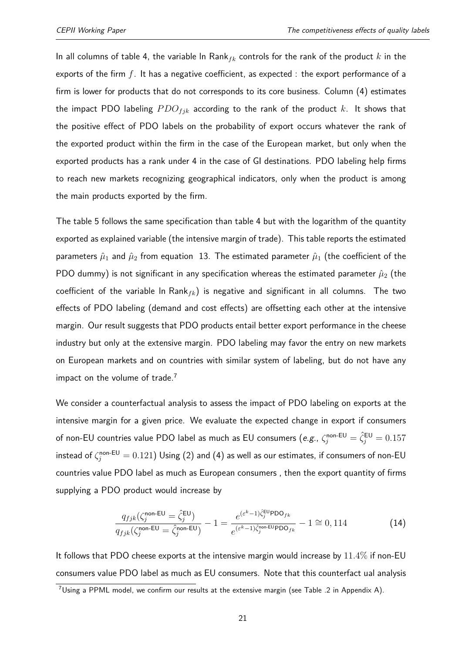In all columns of table [4,](#page-21-0) the variable ln Rank*fk* controls for the rank of the product *k* in the exports of the firm *f*. It has a negative coefficient, as expected : the export performance of a firm is lower for products that do not corresponds to its core business. Column (4) estimates the impact PDO labeling  $PDO_{fjk}$  according to the rank of the product  $k$ . It shows that the positive effect of PDO labels on the probability of export occurs whatever the rank of the exported product within the firm in the case of the European market, but only when the exported products has a rank under 4 in the case of GI destinations. PDO labeling help firms to reach new markets recognizing geographical indicators, only when the product is among the main products exported by the firm.

The table [5](#page-22-0) follows the same specification than table [4](#page-21-0) but with the logarithm of the quantity exported as explained variable (the intensive margin of trade). This table reports the estimated parameters  $\hat{\mu}_1$  and  $\hat{\mu}_2$  from equation [13.](#page-17-0) The estimated parameter  $\hat{\mu}_1$  (the coefficient of the PDO dummy) is not significant in any specification whereas the estimated parameter  $\hat{\mu}_2$  (the coefficient of the variable ln Rank*fk*) is negative and significant in all columns. The two effects of PDO labeling (demand and cost effects) are offsetting each other at the intensive margin. Our result suggests that PDO products entail better export performance in the cheese industry but only at the extensive margin. PDO labeling may favor the entry on new markets on European markets and on countries with similar system of labeling, but do not have any impact on the volume of trade.<sup>[7](#page--1-0)</sup>

We consider a counterfactual analysis to assess the impact of PDO labeling on exports at the intensive margin for a given price. We evaluate the expected change in export if consumers of non-EU countries value PDO label as much as EU consumers (*e.g.*,  $\zeta_j^{\text{non-EU}}=\hat{\zeta}_j^{\text{EU}}=0.157$ instead of  $\zeta^{\mathsf{non-EU}}_j = 0.121)$  Using [\(2\)](#page-12-0) and [\(4\)](#page-12-1) as well as our estimates, if consumers of non-EU countries value PDO label as much as European consumers , then the export quantity of firms supplying a PDO product would increase by

$$
\frac{q_{fjk}(\zeta_j^{\text{non-EU}} = \hat{\zeta}_j^{\text{EU}})}{q_{fjk}(\zeta_j^{\text{non-EU}} = \hat{\zeta}_j^{\text{non-EU}})} - 1 = \frac{e^{(\varepsilon^k - 1)\hat{\zeta}_j^{\text{EU}} \text{PDO}_{fk}}}{e^{(\varepsilon^k - 1)\hat{\zeta}_j^{\text{non-EU}} \text{PDO}_{fk}}} - 1 \cong 0,114
$$
\n(14)

It follows that PDO cheese exports at the intensive margin would increase by 11*.*4% if non-EU consumers value PDO label as much as EU consumers. Note that this counterfact ual analysis

<sup>7</sup>Using a PPML model, we confirm our results at the extensive margin (see Table [.2](#page-29-0) in Appendix A).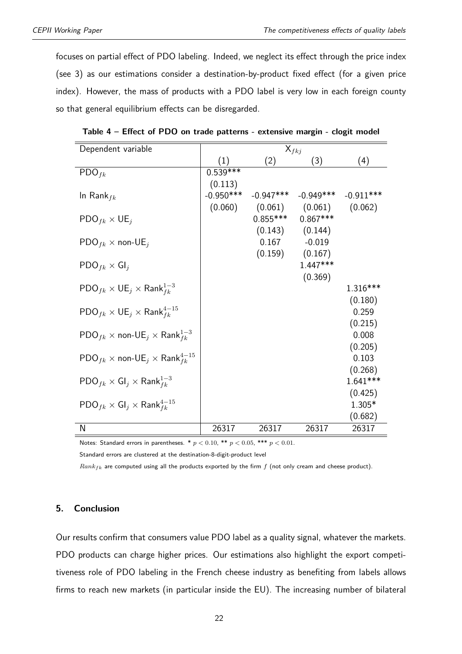focuses on partial effect of PDO labeling. Indeed, we neglect its effect through the price index (see [3\)](#page-12-2) as our estimations consider a destination-by-product fixed effect (for a given price index). However, the mass of products with a PDO label is very low in each foreign county so that general equilibrium effects can be disregarded.

| Dependent variable                                                              |             |             | $X_{fkj}$           |             |
|---------------------------------------------------------------------------------|-------------|-------------|---------------------|-------------|
|                                                                                 | (1)         | (2)         | (3)                 | (4)         |
| $\text{PDO}_{fk}$                                                               | $0.539***$  |             |                     |             |
|                                                                                 | (0.113)     |             |                     |             |
| In Rank $_{fk}$                                                                 | $-0.950***$ | $-0.947***$ | $-0.949***$         | $-0.911***$ |
|                                                                                 | (0.060)     |             | $(0.061)$ $(0.061)$ | (0.062)     |
| $\mathsf{PDO}_{fk} \times \mathsf{UE}_{j}$                                      |             | $0.855***$  | $0.867***$          |             |
|                                                                                 |             |             | $(0.143)$ $(0.144)$ |             |
| $\mathsf{PDO}_{fk} \times \mathsf{non-UE}_{j}$                                  |             | 0.167       | $-0.019$            |             |
|                                                                                 |             | (0.159)     | (0.167)             |             |
| $\mathsf{PDO}_{fk} \times \mathsf{GI}_i$                                        |             |             | $1.447***$          |             |
|                                                                                 |             |             | (0.369)             |             |
| $\mathsf{PDO}_{fk} \times \mathsf{UE}_{j} \times \mathsf{Rank}_{fk}^{1-3}$      |             |             |                     | 1.316***    |
|                                                                                 |             |             |                     | (0.180)     |
| $\mathsf{PDO}_{fk} \times \mathsf{UE}_{j} \times \mathsf{Rank}_{fk}^{4-15}$     |             |             |                     | 0.259       |
|                                                                                 |             |             |                     | (0.215)     |
| $\mathsf{PDO}_{fk} \times \mathsf{non-UE}_{j} \times \mathsf{Rank}_{fk}^{1-3}$  |             |             |                     | 0.008       |
|                                                                                 |             |             |                     | (0.205)     |
| $\mathsf{PDO}_{fk} \times \mathsf{non-UE}_{j} \times \mathsf{Rank}_{fk}^{4-15}$ |             |             |                     | 0.103       |
|                                                                                 |             |             |                     | (0.268)     |
| $\mathsf{PDO}_{fk} \times \mathsf{GI}_j \times \mathsf{Rank}_{fk}^{1-3}$        |             |             |                     | $1.641***$  |
|                                                                                 |             |             |                     | (0.425)     |
| $\mathsf{PDO}_{fk} \times \mathsf{GI}_j \times \mathsf{Rank}_{fk}^{4-15}$       |             |             |                     | $1.305*$    |
|                                                                                 |             |             |                     | (0.682)     |
| N                                                                               | 26317       | 26317       | 26317               | 26317       |

<span id="page-21-0"></span>**Table 4 – Effect of PDO on trade patterns - extensive margin - clogit model**

Notes: Standard errors in parentheses.  $* p < 0.10$ ,  $** p < 0.05$ ,  $*** p < 0.01$ .

Standard errors are clustered at the destination-8-digit-product level

*Rankfk* are computed using all the products exported by the firm *f* (not only cream and cheese product).

#### **5. Conclusion**

Our results confirm that consumers value PDO label as a quality signal, whatever the markets. PDO products can charge higher prices. Our estimations also highlight the export competitiveness role of PDO labeling in the French cheese industry as benefiting from labels allows firms to reach new markets (in particular inside the EU). The increasing number of bilateral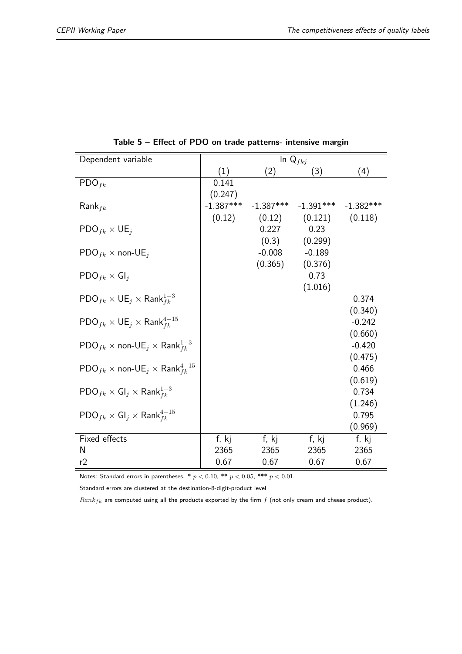<span id="page-22-0"></span>

| Dependent variable                                                              |             | In $Q_{fkj}$ |                         |                     |
|---------------------------------------------------------------------------------|-------------|--------------|-------------------------|---------------------|
|                                                                                 | (1)         | (2)          | (3)                     | (4)                 |
| $\text{PDO}_{fk}$                                                               | 0.141       |              |                         |                     |
|                                                                                 | (0.247)     |              |                         |                     |
| $Rank_{fk}$                                                                     | $-1.387***$ | $-1.387***$  | $-1.391***$ $-1.382***$ |                     |
|                                                                                 | (0.12)      | (0.12)       | (0.121)                 | (0.118)             |
| $\mathsf{PDO}_{fk} \times \mathsf{UE}_{j}$                                      |             | 0.227        | 0.23                    |                     |
|                                                                                 |             | (0.3)        | (0.299)                 |                     |
| $\mathsf{PDO}_{fk} \times \mathsf{non-UE}_{j}$                                  |             | $-0.008$     | $-0.189$                |                     |
|                                                                                 |             | (0.365)      | (0.376)                 |                     |
| $\mathsf{PDO}_{fk} \times \mathsf{GI}_j$                                        |             |              | 0.73                    |                     |
|                                                                                 |             |              | (1.016)                 |                     |
| $\mathsf{PDO}_{fk} \times \mathsf{UE}_{i} \times \mathsf{Rank}_{fk}^{1-3}$      |             |              |                         | 0.374               |
|                                                                                 |             |              |                         | (0.340)<br>$-0.242$ |
| $\mathsf{PDO}_{fk} \times \mathsf{UE}_{j} \times \mathsf{Rank}_{fk}^{4-15}$     |             |              |                         | (0.660)             |
| $\mathsf{PDO}_{fk} \times \mathsf{non-UE}_{j} \times \mathsf{Rank}_{fk}^{1-3}$  |             |              |                         | $-0.420$            |
|                                                                                 |             |              |                         | (0.475)             |
| $\mathsf{PDO}_{fk} \times \mathsf{non-UE}_{j} \times \mathsf{Rank}_{fk}^{4-15}$ |             |              |                         | 0.466               |
|                                                                                 |             |              |                         | (0.619)             |
| $\mathsf{PDO}_{fk} \times \mathsf{GI}_j \times \mathsf{Rank}_{fk}^{1-3}$        |             |              |                         | 0.734               |
|                                                                                 |             |              |                         | (1.246)             |
| $\mathsf{PDO}_{fk} \times \mathsf{GI}_j \times \mathsf{Rank}_{fk}^{4-15}$       |             |              |                         | 0.795               |
|                                                                                 |             |              |                         | (0.969)             |
| Fixed effects                                                                   | f, kj       | f, kj        | f, kj                   | f, kj               |
| N                                                                               | 2365        | 2365         | 2365                    | 2365                |
| r2                                                                              | 0.67        | 0.67         | 0.67                    | 0.67                |

**Table 5 – Effect of PDO on trade patterns- intensive margin**

Notes: Standard errors in parentheses. \* *p <* 0*.*10, \*\* *p <* 0*.*05, \*\*\* *p <* 0*.*01.

Standard errors are clustered at the destination-8-digit-product level

*Rankfk* are computed using all the products exported by the firm *f* (not only cream and cheese product).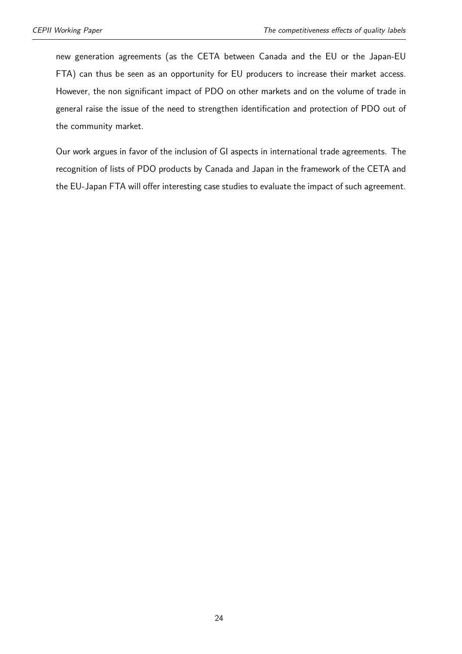new generation agreements (as the CETA between Canada and the EU or the Japan-EU FTA) can thus be seen as an opportunity for EU producers to increase their market access. However, the non significant impact of PDO on other markets and on the volume of trade in general raise the issue of the need to strengthen identification and protection of PDO out of the community market.

Our work argues in favor of the inclusion of GI aspects in international trade agreements. The recognition of lists of PDO products by Canada and Japan in the framework of the CETA and the EU-Japan FTA will offer interesting case studies to evaluate the impact of such agreement.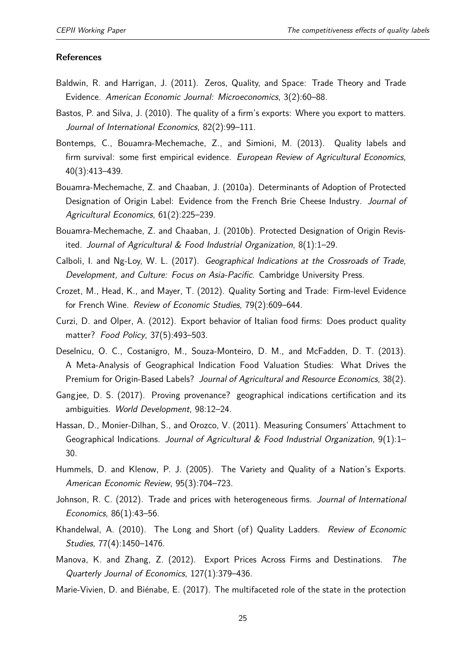#### **References**

- <span id="page-24-10"></span>Baldwin, R. and Harrigan, J. (2011). Zeros, Quality, and Space: Trade Theory and Trade Evidence. American Economic Journal: Microeconomics, 3(2):60–88.
- <span id="page-24-11"></span>Bastos, P. and Silva, J. (2010). The quality of a firm's exports: Where you export to matters. Journal of International Economics, 82(2):99–111.
- <span id="page-24-8"></span>Bontemps, C., Bouamra-Mechemache, Z., and Simioni, M. (2013). Quality labels and firm survival: some first empirical evidence. European Review of Agricultural Economics, 40(3):413–439.
- <span id="page-24-6"></span>Bouamra-Mechemache, Z. and Chaaban, J. (2010a). Determinants of Adoption of Protected Designation of Origin Label: Evidence from the French Brie Cheese Industry. Journal of Agricultural Economics, 61(2):225–239.
- <span id="page-24-7"></span>Bouamra-Mechemache, Z. and Chaaban, J. (2010b). Protected Designation of Origin Revisited. Journal of Agricultural & Food Industrial Organization, 8(1):1–29.
- <span id="page-24-2"></span>Calboli, I. and Ng-Loy, W. L. (2017). Geographical Indications at the Crossroads of Trade, Development, and Culture: Focus on Asia-Pacific. Cambridge University Press.
- <span id="page-24-14"></span>Crozet, M., Head, K., and Mayer, T. (2012). Quality Sorting and Trade: Firm-level Evidence for French Wine. Review of Economic Studies, 79(2):609–644.
- <span id="page-24-15"></span>Curzi, D. and Olper, A. (2012). Export behavior of Italian food firms: Does product quality matter? Food Policy, 37(5):493–503.
- <span id="page-24-5"></span>Deselnicu, O. C., Costanigro, M., Souza-Monteiro, D. M., and McFadden, D. T. (2013). A Meta-Analysis of Geographical Indication Food Valuation Studies: What Drives the Premium for Origin-Based Labels? Journal of Agricultural and Resource Economics, 38(2).
- <span id="page-24-1"></span>Gangjee, D. S. (2017). Proving provenance? geographical indications certification and its ambiguities. World Development, 98:12–24.
- <span id="page-24-4"></span>Hassan, D., Monier-Dilhan, S., and Orozco, V. (2011). Measuring Consumers' Attachment to Geographical Indications. Journal of Agricultural & Food Industrial Organization,  $9(1)$ :1– 30.
- <span id="page-24-9"></span>Hummels, D. and Klenow, P. J. (2005). The Variety and Quality of a Nation's Exports. American Economic Review, 95(3):704–723.
- <span id="page-24-12"></span>Johnson, R. C. (2012). Trade and prices with heterogeneous firms. Journal of International Economics, 86(1):43–56.
- <span id="page-24-3"></span>Khandelwal, A. (2010). The Long and Short (of) Quality Ladders. Review of Economic Studies, 77(4):1450–1476.
- <span id="page-24-13"></span>Manova, K. and Zhang, Z. (2012). Export Prices Across Firms and Destinations. The Quarterly Journal of Economics, 127(1):379–436.
- <span id="page-24-0"></span>Marie-Vivien, D. and Biénabe, E. (2017). The multifaceted role of the state in the protection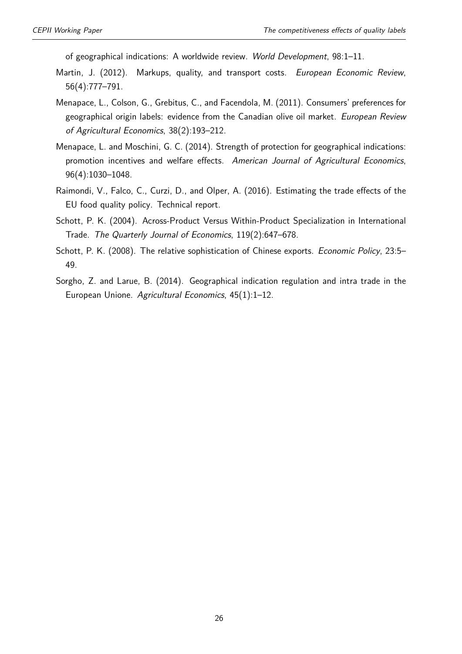of geographical indications: A worldwide review. World Development, 98:1–11.

- <span id="page-25-4"></span>Martin, J. (2012). Markups, quality, and transport costs. European Economic Review, 56(4):777–791.
- <span id="page-25-1"></span>Menapace, L., Colson, G., Grebitus, C., and Facendola, M. (2011). Consumers' preferences for geographical origin labels: evidence from the Canadian olive oil market. European Review of Agricultural Economics, 38(2):193–212.
- <span id="page-25-0"></span>Menapace, L. and Moschini, G. C. (2014). Strength of protection for geographical indications: promotion incentives and welfare effects. American Journal of Agricultural Economics, 96(4):1030–1048.
- <span id="page-25-6"></span>Raimondi, V., Falco, C., Curzi, D., and Olper, A. (2016). Estimating the trade effects of the EU food quality policy. Technical report.
- <span id="page-25-2"></span>Schott, P. K. (2004). Across-Product Versus Within-Product Specialization in International Trade. The Quarterly Journal of Economics, 119(2):647–678.
- <span id="page-25-3"></span>Schott, P. K. (2008). The relative sophistication of Chinese exports. Economic Policy, 23:5-49.
- <span id="page-25-5"></span>Sorgho, Z. and Larue, B. (2014). Geographical indication regulation and intra trade in the European Unione. Agricultural Economics, 45(1):1–12.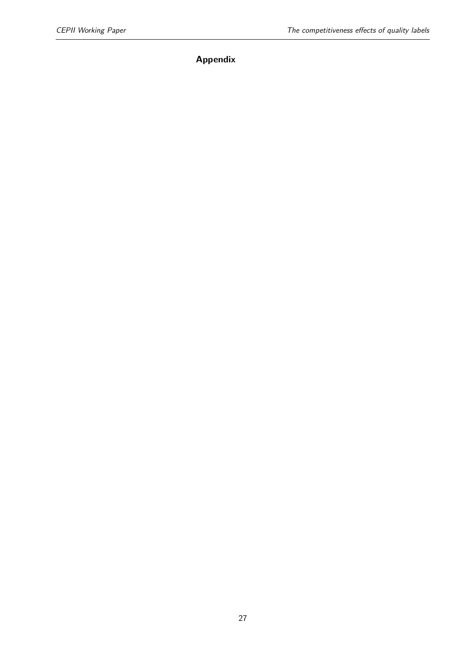## **Appendix**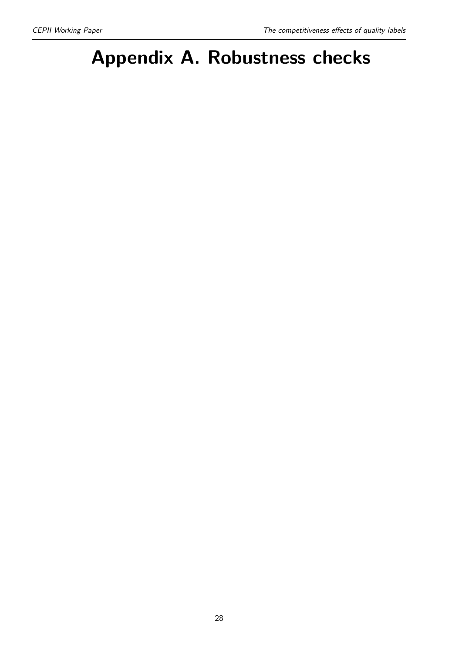# **Appendix A. Robustness checks**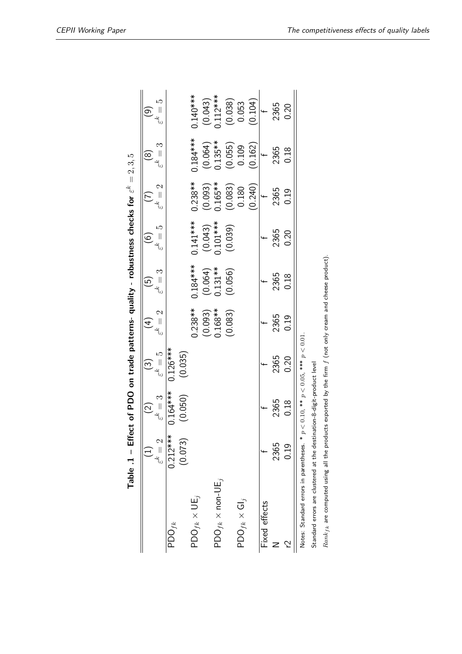<span id="page-28-0"></span>

|                                                                        | Table .1 – Effect of PDO on trade patterns- quality - robustness checks for $\varepsilon^k = 2, 3, 5$ |                     |                                             |                   |                      |                         |                      |                      |                                                 |
|------------------------------------------------------------------------|-------------------------------------------------------------------------------------------------------|---------------------|---------------------------------------------|-------------------|----------------------|-------------------------|----------------------|----------------------|-------------------------------------------------|
|                                                                        |                                                                                                       | $\widetilde{\circ}$ | $\widetilde{\omega}$                        | $\overline{4}$    | $\widetilde{\Xi}$    | ତ୍ର                     |                      | $\circledast$        | $\circ$                                         |
|                                                                        | $\varepsilon^k = 2$                                                                                   | $\varepsilon^k=3$   | $\varepsilon^k = 5$                         | $\varepsilon^k=2$ | $\varepsilon^k=3$    | $\varepsilon^k = 5$     | $\varepsilon^k=2$    | $\varepsilon^k =$    | حمد<br>$\left  {}\right $                       |
| $\mathsf{PDO}_{fk}$                                                    | $0.212***$                                                                                            | $0.164***$          | $0.126***$                                  |                   |                      |                         |                      |                      |                                                 |
|                                                                        | (0.073)                                                                                               | (0.050)             | (0.035)                                     |                   |                      |                         |                      |                      |                                                 |
| $\mathsf{PDO}_{f k} \times \mathsf{UE}_{j}$                            |                                                                                                       |                     |                                             | $0.238**$         | $0.184***$           | $0.141***$              | $0.238**$            | $0.184***$           | $0.140***$                                      |
|                                                                        |                                                                                                       |                     |                                             | (0.093)           | $(0.064)$<br>0.131** |                         | (0.093)              | (0.064)              |                                                 |
| $\mathsf{PDO}_{fk} \times \mathsf{non-UE}_{j}$                         |                                                                                                       |                     |                                             | $0.168**$         |                      | $(0.043)$<br>$0.101***$ | $0.165***$           | $0.135***$           |                                                 |
|                                                                        |                                                                                                       |                     |                                             | (0.083)           | (0.056)              | (0.039)                 |                      |                      | $(0.043)$<br>$0.112***$<br>$(0.038)$<br>$0.053$ |
| $\mathsf{PDO}_{fk} \times \mathsf{GI}_j$                               |                                                                                                       |                     |                                             |                   |                      |                         | $(0.083)$<br>$0.180$ | $(0.055)$<br>$0.109$ |                                                 |
|                                                                        |                                                                                                       |                     |                                             |                   |                      |                         | (0.240)              | (0.162)              | (0.104)                                         |
| Fixed effects                                                          |                                                                                                       |                     |                                             |                   |                      |                         |                      |                      |                                                 |
|                                                                        | 2365                                                                                                  | 2365                | 2365                                        | 2365              | 2365                 | 2365                    | 2365                 | 2365                 | 2365                                            |
|                                                                        | 0.19                                                                                                  | 0.18                | 0.20                                        | 0.19              | 0.18                 | 0.20                    | 0.19                 | 0.18                 | 0.20                                            |
| Notes: Standard errors in parentheses. *                               |                                                                                                       |                     | $p < 0.10$ , ** $p < 0.05$ , *** $p < 0.01$ |                   |                      |                         |                      |                      |                                                 |
| Standard errors are clustered at the destination-8-digit-product level |                                                                                                       |                     |                                             |                   |                      |                         |                      |                      |                                                 |

Standard errors are clustered at the destination-8-digit-product level

 $Rank_{fk}$  are computed using all the products exported by the firm  $f$  (not only cream and cheese product). *Rankfk* are computed using all the products exported by the firm *f* (not only cream and cheese product).